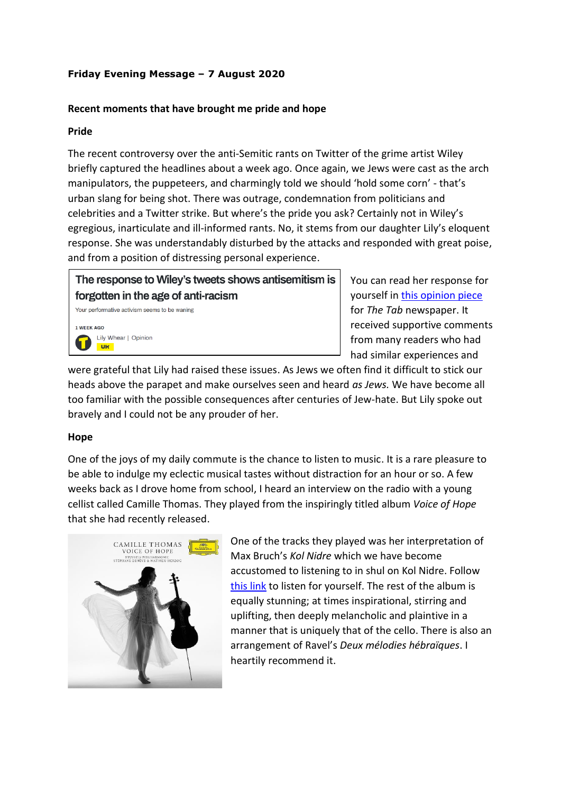## **Friday Evening Message – 7 August 2020**

## **Recent moments that have brought me pride and hope**

## **Pride**

The recent controversy over the anti-Semitic rants on Twitter of the grime artist Wiley briefly captured the headlines about a week ago. Once again, we Jews were cast as the arch manipulators, the puppeteers, and charmingly told we should 'hold some corn' - that's urban slang for being shot. There was outrage, condemnation from politicians and celebrities and a Twitter strike. But where's the pride you ask? Certainly not in Wiley's egregious, inarticulate and ill-informed rants. No, it stems from our daughter Lily's eloquent response. She was understandably disturbed by the attacks and responded with great poise, and from a position of distressing personal experience.

The response to Wiley's tweets shows antisemitism is forgotten in the age of anti-racism

Your performative activism seems to be waning 1 WEEK AGO Lily Whear | Opinion **UK** 

You can read her response for yourself in [this opinion piece](https://thetab.com/uk/2020/07/28/the-response-to-wileys-tweets-shows-antisemitism-is-forgotten-in-the-age-of-anti-racism-168236) for *The Tab* newspaper. It received supportive comments from many readers who had had similar experiences and

were grateful that Lily had raised these issues. As Jews we often find it difficult to stick our heads above the parapet and make ourselves seen and heard *as Jews.* We have become all too familiar with the possible consequences after centuries of Jew-hate. But Lily spoke out bravely and I could not be any prouder of her.

## **Hope**

One of the joys of my daily commute is the chance to listen to music. It is a rare pleasure to be able to indulge my eclectic musical tastes without distraction for an hour or so. A few weeks back as I drove home from school, I heard an interview on the radio with a young cellist called Camille Thomas. They played from the inspiringly titled album *Voice of Hope* that she had recently released.



One of the tracks they played was her interpretation of Max Bruch's *Kol Nidre* which we have become accustomed to listening to in shul on Kol Nidre. Follow [this link](https://www.youtube.com/watch?v=Vs1qkEnx9rA) to listen for yourself. The rest of the album is equally stunning; at times inspirational, stirring and uplifting, then deeply melancholic and plaintive in a manner that is uniquely that of the cello. There is also an arrangement of Ravel's *Deux mélodies hébraïques*. I heartily recommend it.